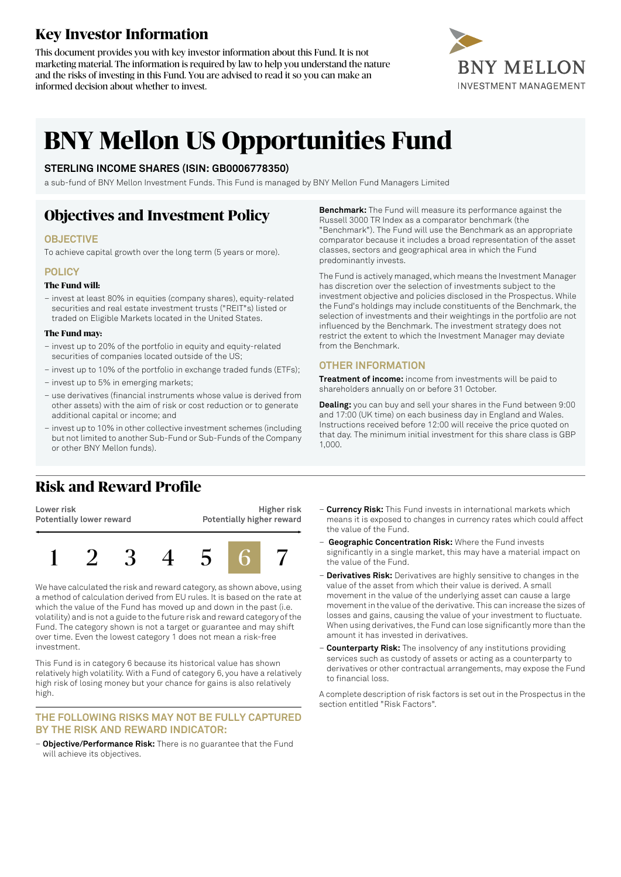# **Key Investor Information**

This document provides you with key investor information about this Fund. It is not marketing material. The information is required by law to help you understand the nature and the risks of investing in this Fund. You are advised to read it so you can make an informed decision about whether to invest.



# **BNY Mellon US Opportunities Fund**

### **STERLING INCOME SHARES (ISIN: GB0006778350)**

a sub-fund of BNY Mellon Investment Funds. This Fund is managed by BNY Mellon Fund Managers Limited

# **Objectives and Investment Policy**

### **OBJECTIVE**

To achieve capital growth over the long term (5 years or more).

### **POLICY**

#### **The Fund will:**

– invest at least 80% in equities (company shares), equity-related securities and real estate investment trusts ("REIT"s) listed or traded on Eligible Markets located in the United States.

#### **The Fund may:**

- invest up to 20% of the portfolio in equity and equity-related securities of companies located outside of the US;
- invest up to 10% of the portfolio in exchange traded funds (ETFs);
- invest up to 5% in emerging markets;
- use derivatives (financial instruments whose value is derived from other assets) with the aim of risk or cost reduction or to generate additional capital or income; and
- invest up to 10% in other collective investment schemes (including but not limited to another Sub-Fund or Sub-Funds of the Company or other BNY Mellon funds).

**Benchmark:** The Fund will measure its performance against the Russell 3000 TR Index as a comparator benchmark (the "Benchmark"). The Fund will use the Benchmark as an appropriate comparator because it includes a broad representation of the asset classes, sectors and geographical area in which the Fund predominantly invests.

The Fund is actively managed, which means the Investment Manager has discretion over the selection of investments subject to the investment objective and policies disclosed in the Prospectus. While the Fund's holdings may include constituents of the Benchmark, the selection of investments and their weightings in the portfolio are not influenced by the Benchmark. The investment strategy does not restrict the extent to which the Investment Manager may deviate from the Benchmark.

### **OTHER INFORMATION**

**Treatment of income:** income from investments will be paid to shareholders annually on or before 31 October.

**Dealing:** you can buy and sell your shares in the Fund between 9:00 and 17:00 (UK time) on each business day in England and Wales. Instructions received before 12:00 will receive the price quoted on that day. The minimum initial investment for this share class is GBP 1,000.

### **Risk and Reward Profile**

**Lower risk Potentially lower reward**

**Higher risk Potentially higher reward**



We have calculated the risk and reward category, as shown above, using a method of calculation derived from EU rules. It is based on the rate at which the value of the Fund has moved up and down in the past (i.e. volatility) and is not a guide to the future risk and reward category ofthe Fund. The category shown is not a target or guarantee and may shift over time. Even the lowest category 1 does not mean a risk-free investment.

This Fund is in category 6 because its historical value has shown relatively high volatility. With a Fund of category 6, you have a relatively high risk of losing money but your chance for gains is also relatively high.

### **THE FOLLOWING RISKS MAY NOT BE FULLY CAPTURED BY THE RISK AND REWARD INDICATOR:**

– **Objective/Performance Risk:** There is no guarantee that the Fund will achieve its objectives.

- **Currency Risk:** This Fund invests in international markets which means it is exposed to changes in currency rates which could affect the value of the Fund.
- **Geographic Concentration Risk:** Where the Fund invests significantly in a single market, this may have a material impact on the value of the Fund.
- **Derivatives Risk:** Derivatives are highly sensitive to changes in the value of the asset from which their value is derived. A small movement in the value of the underlying asset can cause a large movement in the value of the derivative. This can increase the sizes of losses and gains, causing the value of your investment to fluctuate. When using derivatives, the Fund can lose significantly more than the amount it has invested in derivatives.
- **Counterparty Risk:** The insolvency of any institutions providing services such as custody of assets or acting as a counterparty to derivatives or other contractual arrangements, may expose the Fund to financial loss.

A complete description of risk factors is set out in the Prospectus in the section entitled "Risk Factors".